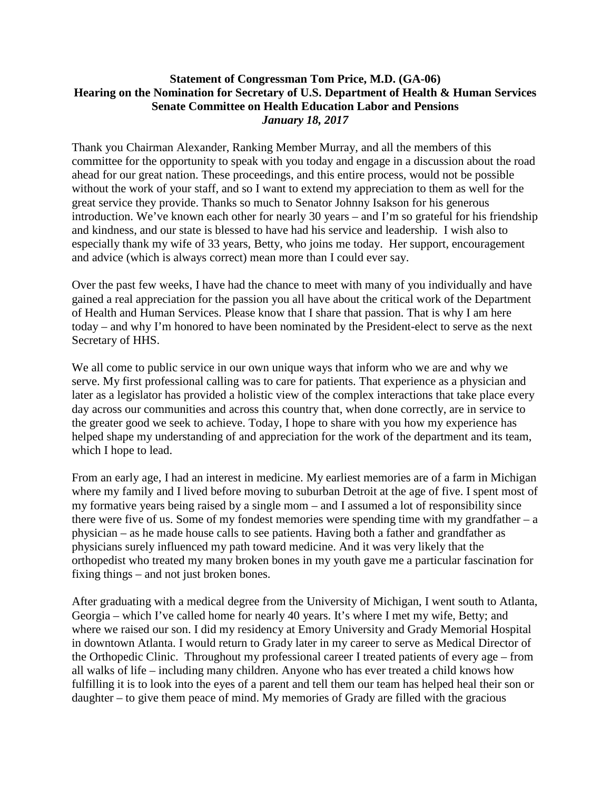## **Statement of Congressman Tom Price, M.D. (GA-06) Hearing on the Nomination for Secretary of U.S. Department of Health & Human Services Senate Committee on Health Education Labor and Pensions** *January 18, 2017*

Thank you Chairman Alexander, Ranking Member Murray, and all the members of this committee for the opportunity to speak with you today and engage in a discussion about the road ahead for our great nation. These proceedings, and this entire process, would not be possible without the work of your staff, and so I want to extend my appreciation to them as well for the great service they provide. Thanks so much to Senator Johnny Isakson for his generous introduction. We've known each other for nearly 30 years – and I'm so grateful for his friendship and kindness, and our state is blessed to have had his service and leadership. I wish also to especially thank my wife of 33 years, Betty, who joins me today. Her support, encouragement and advice (which is always correct) mean more than I could ever say.

Over the past few weeks, I have had the chance to meet with many of you individually and have gained a real appreciation for the passion you all have about the critical work of the Department of Health and Human Services. Please know that I share that passion. That is why I am here today – and why I'm honored to have been nominated by the President-elect to serve as the next Secretary of HHS.

We all come to public service in our own unique ways that inform who we are and why we serve. My first professional calling was to care for patients. That experience as a physician and later as a legislator has provided a holistic view of the complex interactions that take place every day across our communities and across this country that, when done correctly, are in service to the greater good we seek to achieve. Today, I hope to share with you how my experience has helped shape my understanding of and appreciation for the work of the department and its team, which I hope to lead.

From an early age, I had an interest in medicine. My earliest memories are of a farm in Michigan where my family and I lived before moving to suburban Detroit at the age of five. I spent most of my formative years being raised by a single mom – and I assumed a lot of responsibility since there were five of us. Some of my fondest memories were spending time with my grandfather  $- a$ physician – as he made house calls to see patients. Having both a father and grandfather as physicians surely influenced my path toward medicine. And it was very likely that the orthopedist who treated my many broken bones in my youth gave me a particular fascination for fixing things – and not just broken bones.

After graduating with a medical degree from the University of Michigan, I went south to Atlanta, Georgia – which I've called home for nearly 40 years. It's where I met my wife, Betty; and where we raised our son. I did my residency at Emory University and Grady Memorial Hospital in downtown Atlanta. I would return to Grady later in my career to serve as Medical Director of the Orthopedic Clinic. Throughout my professional career I treated patients of every age – from all walks of life – including many children. Anyone who has ever treated a child knows how fulfilling it is to look into the eyes of a parent and tell them our team has helped heal their son or daughter – to give them peace of mind. My memories of Grady are filled with the gracious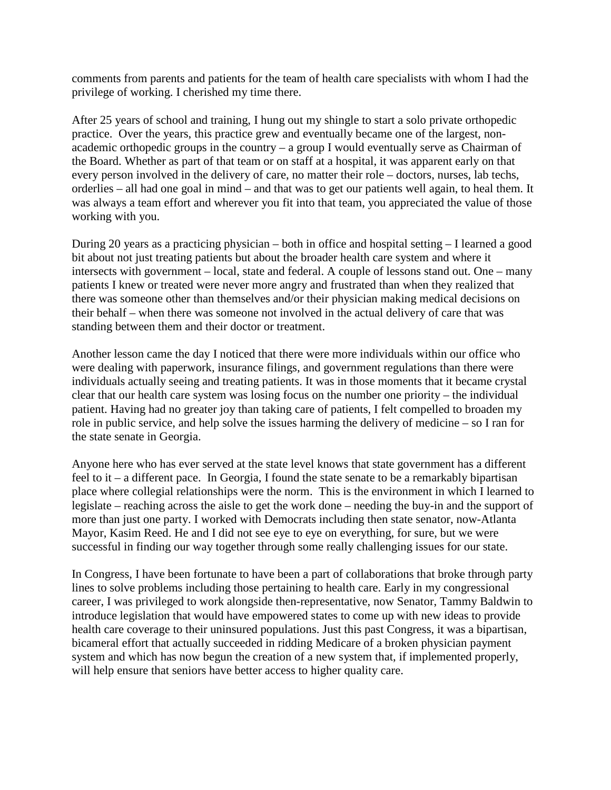comments from parents and patients for the team of health care specialists with whom I had the privilege of working. I cherished my time there.

After 25 years of school and training, I hung out my shingle to start a solo private orthopedic practice. Over the years, this practice grew and eventually became one of the largest, nonacademic orthopedic groups in the country – a group I would eventually serve as Chairman of the Board. Whether as part of that team or on staff at a hospital, it was apparent early on that every person involved in the delivery of care, no matter their role – doctors, nurses, lab techs, orderlies – all had one goal in mind – and that was to get our patients well again, to heal them. It was always a team effort and wherever you fit into that team, you appreciated the value of those working with you.

During 20 years as a practicing physician – both in office and hospital setting – I learned a good bit about not just treating patients but about the broader health care system and where it intersects with government – local, state and federal. A couple of lessons stand out. One – many patients I knew or treated were never more angry and frustrated than when they realized that there was someone other than themselves and/or their physician making medical decisions on their behalf – when there was someone not involved in the actual delivery of care that was standing between them and their doctor or treatment.

Another lesson came the day I noticed that there were more individuals within our office who were dealing with paperwork, insurance filings, and government regulations than there were individuals actually seeing and treating patients. It was in those moments that it became crystal clear that our health care system was losing focus on the number one priority – the individual patient. Having had no greater joy than taking care of patients, I felt compelled to broaden my role in public service, and help solve the issues harming the delivery of medicine – so I ran for the state senate in Georgia.

Anyone here who has ever served at the state level knows that state government has a different feel to it – a different pace. In Georgia, I found the state senate to be a remarkably bipartisan place where collegial relationships were the norm. This is the environment in which I learned to legislate – reaching across the aisle to get the work done – needing the buy-in and the support of more than just one party. I worked with Democrats including then state senator, now-Atlanta Mayor, Kasim Reed. He and I did not see eye to eye on everything, for sure, but we were successful in finding our way together through some really challenging issues for our state.

In Congress, I have been fortunate to have been a part of collaborations that broke through party lines to solve problems including those pertaining to health care. Early in my congressional career, I was privileged to work alongside then-representative, now Senator, Tammy Baldwin to introduce legislation that would have empowered states to come up with new ideas to provide health care coverage to their uninsured populations. Just this past Congress, it was a bipartisan, bicameral effort that actually succeeded in ridding Medicare of a broken physician payment system and which has now begun the creation of a new system that, if implemented properly, will help ensure that seniors have better access to higher quality care.